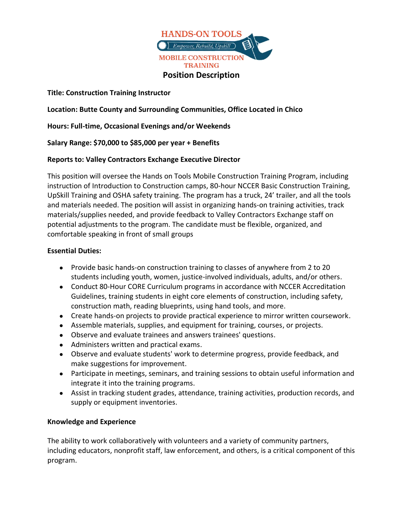

**Title: Construction Training Instructor** 

**Location: Butte County and Surrounding Communities, Office Located in Chico** 

**Hours: Full-time, Occasional Evenings and/or Weekends** 

**Salary Range: \$70,000 to \$85,000 per year + Benefits**

## **Reports to: Valley Contractors Exchange Executive Director**

This position will oversee the Hands on Tools Mobile Construction Training Program, including instruction of Introduction to Construction camps, 80-hour NCCER Basic Construction Training, UpSkill Training and OSHA safety training. The program has a truck, 24' trailer, and all the tools and materials needed. The position will assist in organizing hands-on training activities, track materials/supplies needed, and provide feedback to Valley Contractors Exchange staff on potential adjustments to the program. The candidate must be flexible, organized, and comfortable speaking in front of small groups

## **Essential Duties:**

- Provide basic hands-on construction training to classes of anywhere from 2 to 20 students including youth, women, justice-involved individuals, adults, and/or others.
- Conduct 80-Hour CORE Curriculum programs in accordance with NCCER Accreditation Guidelines, training students in eight core elements of construction, including safety, construction math, reading blueprints, using hand tools, and more.
- Create hands-on projects to provide practical experience to mirror written coursework.
- Assemble materials, supplies, and equipment for training, courses, or projects.
- Observe and evaluate trainees and answers trainees' questions.
- Administers written and practical exams.
- Observe and evaluate students' work to determine progress, provide feedback, and make suggestions for improvement.
- Participate in meetings, seminars, and training sessions to obtain useful information and integrate it into the training programs.
- Assist in tracking student grades, attendance, training activities, production records, and supply or equipment inventories.

## **Knowledge and Experience**

The ability to work collaboratively with volunteers and a variety of community partners, including educators, nonprofit staff, law enforcement, and others, is a critical component of this program.